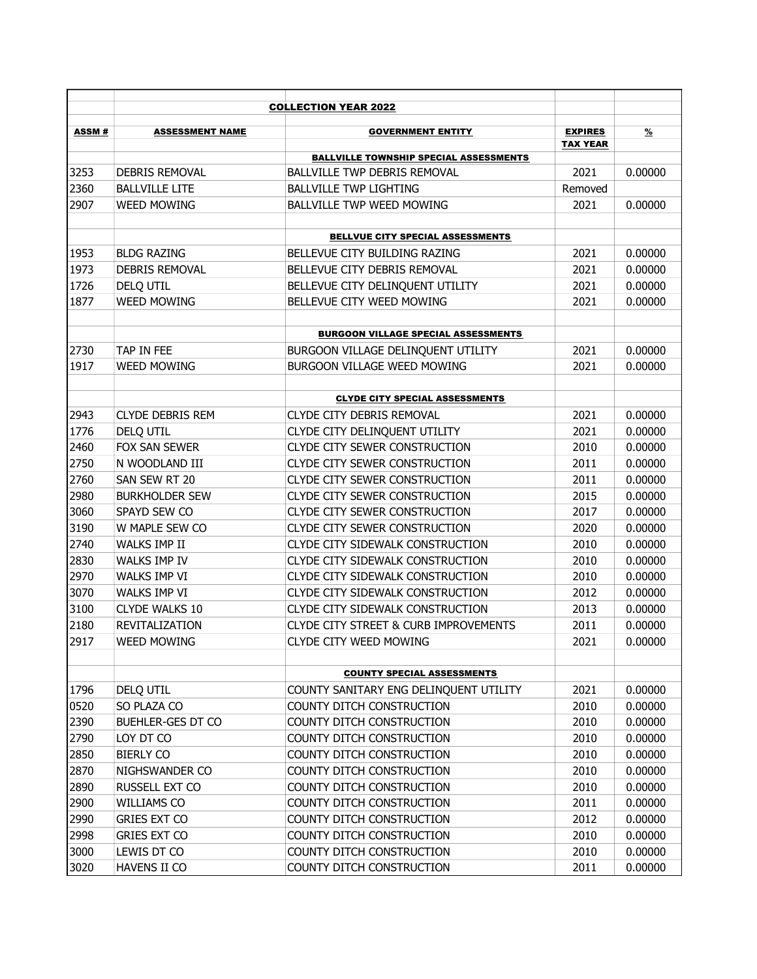|       |                         | <b>COLLECTION YEAR 2022</b>                      |                 |               |
|-------|-------------------------|--------------------------------------------------|-----------------|---------------|
| ASSM# | <b>ASSESSMENT NAME</b>  | <b>GOVERNMENT ENTITY</b>                         | <b>EXPIRES</b>  | $\frac{9}{6}$ |
|       |                         |                                                  | <b>TAX YEAR</b> |               |
|       |                         | <b>BALLVILLE TOWNSHIP SPECIAL ASSESSMENTS</b>    |                 |               |
| 3253  | DEBRIS REMOVAL          | <b>BALLVILLE TWP DEBRIS REMOVAL</b>              | 2021            | 0.00000       |
| 2360  | <b>BALLVILLE LITE</b>   | <b>BALLVILLE TWP LIGHTING</b>                    | Removed         |               |
| 2907  | <b>WEED MOWING</b>      | <b>BALLVILLE TWP WEED MOWING</b>                 | 2021            | 0.00000       |
|       |                         | <b>BELLVUE CITY SPECIAL ASSESSMENTS</b>          |                 |               |
| 1953  | <b>BLDG RAZING</b>      | BELLEVUE CITY BUILDING RAZING                    | 2021            | 0.00000       |
| 1973  | DEBRIS REMOVAL          | BELLEVUE CITY DEBRIS REMOVAL                     | 2021            | 0.00000       |
| 1726  | DELQ UTIL               | BELLEVUE CITY DELINQUENT UTILITY                 | 2021            | 0.00000       |
| 1877  | <b>WEED MOWING</b>      | BELLEVUE CITY WEED MOWING                        | 2021            | 0.00000       |
|       |                         | <b>BURGOON VILLAGE SPECIAL ASSESSMENTS</b>       |                 |               |
| 2730  | TAP IN FEE              | BURGOON VILLAGE DELINQUENT UTILITY               | 2021            | 0.00000       |
| 1917  | <b>WEED MOWING</b>      | BURGOON VILLAGE WEED MOWING                      | 2021            | 0.00000       |
|       |                         |                                                  |                 |               |
|       |                         | <b>CLYDE CITY SPECIAL ASSESSMENTS</b>            |                 |               |
| 2943  | <b>CLYDE DEBRIS REM</b> | <b>CLYDE CITY DEBRIS REMOVAL</b>                 | 2021            | 0.00000       |
| 1776  | DELQ UTIL               | CLYDE CITY DELINQUENT UTILITY                    | 2021            | 0.00000       |
| 2460  | FOX SAN SEWER           | CLYDE CITY SEWER CONSTRUCTION                    | 2010            | 0.00000       |
| 2750  | N WOODLAND III          | <b>CLYDE CITY SEWER CONSTRUCTION</b>             | 2011            | 0.00000       |
| 2760  | SAN SEW RT 20           | <b>CLYDE CITY SEWER CONSTRUCTION</b>             | 2011            | 0.00000       |
| 2980  | <b>BURKHOLDER SEW</b>   | <b>CLYDE CITY SEWER CONSTRUCTION</b>             | 2015            | 0.00000       |
| 3060  | SPAYD SEW CO            | <b>CLYDE CITY SEWER CONSTRUCTION</b>             | 2017            | 0.00000       |
| 3190  | W MAPLE SEW CO          | <b>CLYDE CITY SEWER CONSTRUCTION</b>             | 2020            | 0.00000       |
| 2740  | WALKS IMP II            | CLYDE CITY SIDEWALK CONSTRUCTION                 | 2010            | 0.00000       |
| 2830  | WALKS IMP IV            | CLYDE CITY SIDEWALK CONSTRUCTION                 | 2010            | 0.00000       |
| 2970  | WALKS IMP VI            | CLYDE CITY SIDEWALK CONSTRUCTION                 | 2010            | 0.00000       |
| 3070  | WALKS IMP VI            | CLYDE CITY SIDEWALK CONSTRUCTION                 | 2012            | 0.00000       |
| 3100  | <b>CLYDE WALKS 10</b>   | CLYDE CITY SIDEWALK CONSTRUCTION                 | 2013            | 0.00000       |
| 2180  | REVITALIZATION          | <b>CLYDE CITY STREET &amp; CURB IMPROVEMENTS</b> | 2011            | 0.00000       |
| 2917  | <b>WEED MOWING</b>      | CLYDE CITY WEED MOWING                           | 2021            | 0.00000       |
|       |                         |                                                  |                 |               |
|       |                         | <b>COUNTY SPECIAL ASSESSMENTS</b>                |                 |               |
| 1796  | DELQ UTIL               | COUNTY SANITARY ENG DELINQUENT UTILITY           | 2021            | 0.00000       |
| 0520  | SO PLAZA CO             | COUNTY DITCH CONSTRUCTION                        | 2010            | 0.00000       |
| 2390  | BUEHLER-GES DT CO       | COUNTY DITCH CONSTRUCTION                        | 2010            | 0.00000       |
| 2790  | LOY DT CO               | COUNTY DITCH CONSTRUCTION                        | 2010            | 0.00000       |
| 2850  | <b>BIERLY CO</b>        | COUNTY DITCH CONSTRUCTION                        | 2010            | 0.00000       |
| 2870  | NIGHSWANDER CO          | COUNTY DITCH CONSTRUCTION                        | 2010            | 0.00000       |
| 2890  | RUSSELL EXT CO          | COUNTY DITCH CONSTRUCTION                        | 2010            | 0.00000       |
| 2900  | WILLIAMS CO             | COUNTY DITCH CONSTRUCTION                        | 2011            | 0.00000       |
| 2990  | <b>GRIES EXT CO</b>     | COUNTY DITCH CONSTRUCTION                        | 2012            | 0.00000       |
| 2998  | <b>GRIES EXT CO</b>     | COUNTY DITCH CONSTRUCTION                        | 2010            | 0.00000       |
| 3000  | LEWIS DT CO             | COUNTY DITCH CONSTRUCTION                        | 2010            | 0.00000       |
| 3020  | HAVENS II CO            | COUNTY DITCH CONSTRUCTION                        | 2011            | 0.00000       |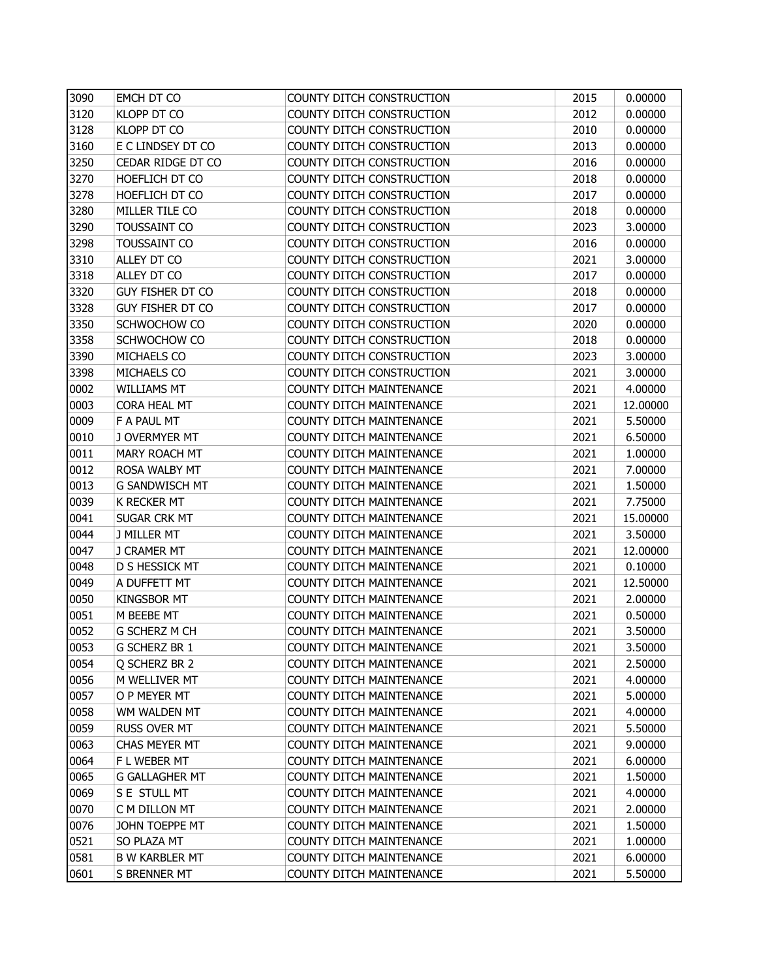| 3090 | <b>EMCH DT CO</b>       | COUNTY DITCH CONSTRUCTION       | 2015 | 0.00000  |
|------|-------------------------|---------------------------------|------|----------|
| 3120 | <b>KLOPP DT CO</b>      | COUNTY DITCH CONSTRUCTION       | 2012 | 0.00000  |
| 3128 | KLOPP DT CO             | COUNTY DITCH CONSTRUCTION       | 2010 | 0.00000  |
| 3160 | E C LINDSEY DT CO       | COUNTY DITCH CONSTRUCTION       | 2013 | 0.00000  |
| 3250 | CEDAR RIDGE DT CO       | COUNTY DITCH CONSTRUCTION       | 2016 | 0.00000  |
| 3270 | HOEFLICH DT CO          | COUNTY DITCH CONSTRUCTION       | 2018 | 0.00000  |
| 3278 | HOEFLICH DT CO          | COUNTY DITCH CONSTRUCTION       | 2017 | 0.00000  |
| 3280 | MILLER TILE CO          | COUNTY DITCH CONSTRUCTION       | 2018 | 0.00000  |
| 3290 | TOUSSAINT CO            | COUNTY DITCH CONSTRUCTION       | 2023 | 3.00000  |
| 3298 | TOUSSAINT CO            | COUNTY DITCH CONSTRUCTION       | 2016 | 0.00000  |
| 3310 | ALLEY DT CO             | COUNTY DITCH CONSTRUCTION       | 2021 | 3.00000  |
| 3318 | ALLEY DT CO             | COUNTY DITCH CONSTRUCTION       | 2017 | 0.00000  |
| 3320 | <b>GUY FISHER DT CO</b> | COUNTY DITCH CONSTRUCTION       | 2018 | 0.00000  |
| 3328 | <b>GUY FISHER DT CO</b> | COUNTY DITCH CONSTRUCTION       | 2017 | 0.00000  |
| 3350 | SCHWOCHOW CO            | COUNTY DITCH CONSTRUCTION       | 2020 | 0.00000  |
| 3358 | SCHWOCHOW CO            | COUNTY DITCH CONSTRUCTION       | 2018 | 0.00000  |
| 3390 | MICHAELS CO             | COUNTY DITCH CONSTRUCTION       | 2023 | 3.00000  |
| 3398 | MICHAELS CO             | COUNTY DITCH CONSTRUCTION       | 2021 | 3.00000  |
| 0002 | <b>WILLIAMS MT</b>      | <b>COUNTY DITCH MAINTENANCE</b> | 2021 | 4.00000  |
| 0003 | CORA HEAL MT            | COUNTY DITCH MAINTENANCE        | 2021 | 12.00000 |
| 0009 | F A PAUL MT             | COUNTY DITCH MAINTENANCE        | 2021 | 5.50000  |
| 0010 | J OVERMYER MT           | COUNTY DITCH MAINTENANCE        | 2021 | 6.50000  |
| 0011 | MARY ROACH MT           | <b>COUNTY DITCH MAINTENANCE</b> | 2021 | 1.00000  |
| 0012 | ROSA WALBY MT           | <b>COUNTY DITCH MAINTENANCE</b> | 2021 | 7.00000  |
| 0013 | <b>G SANDWISCH MT</b>   | COUNTY DITCH MAINTENANCE        | 2021 | 1.50000  |
| 0039 | K RECKER MT             | <b>COUNTY DITCH MAINTENANCE</b> | 2021 | 7.75000  |
| 0041 | SUGAR CRK MT            | COUNTY DITCH MAINTENANCE        | 2021 | 15.00000 |
| 0044 | J MILLER MT             | COUNTY DITCH MAINTENANCE        | 2021 | 3.50000  |
| 0047 | J CRAMER MT             | <b>COUNTY DITCH MAINTENANCE</b> | 2021 | 12.00000 |
| 0048 | D S HESSICK MT          | COUNTY DITCH MAINTENANCE        | 2021 | 0.10000  |
| 0049 | A DUFFETT MT            | COUNTY DITCH MAINTENANCE        | 2021 | 12.50000 |
| 0050 | <b>KINGSBOR MT</b>      | COUNTY DITCH MAINTENANCE        | 2021 | 2.00000  |
| 0051 | M BEEBE MT              | COUNTY DITCH MAINTENANCE        | 2021 | 0.50000  |
| 0052 | <b>G SCHERZ M CH</b>    | COUNTY DITCH MAINTENANCE        | 2021 | 3.50000  |
| 0053 | G SCHERZ BR 1           | <b>COUNTY DITCH MAINTENANCE</b> | 2021 | 3.50000  |
| 0054 | Q SCHERZ BR 2           | COUNTY DITCH MAINTENANCE        | 2021 | 2.50000  |
| 0056 | M WELLIVER MT           | COUNTY DITCH MAINTENANCE        | 2021 | 4.00000  |
| 0057 | O P MEYER MT            | <b>COUNTY DITCH MAINTENANCE</b> | 2021 | 5.00000  |
| 0058 | WM WALDEN MT            | COUNTY DITCH MAINTENANCE        | 2021 | 4.00000  |
| 0059 | <b>RUSS OVER MT</b>     | <b>COUNTY DITCH MAINTENANCE</b> | 2021 | 5.50000  |
| 0063 | CHAS MEYER MT           | COUNTY DITCH MAINTENANCE        | 2021 | 9.00000  |
| 0064 | F L WEBER MT            | COUNTY DITCH MAINTENANCE        | 2021 | 6.00000  |
| 0065 | <b>G GALLAGHER MT</b>   | COUNTY DITCH MAINTENANCE        | 2021 | 1.50000  |
| 0069 | S E STULL MT            | COUNTY DITCH MAINTENANCE        | 2021 | 4.00000  |
| 0070 | C M DILLON MT           | COUNTY DITCH MAINTENANCE        | 2021 | 2.00000  |
| 0076 | JOHN TOEPPE MT          | COUNTY DITCH MAINTENANCE        | 2021 | 1.50000  |
| 0521 | SO PLAZA MT             | COUNTY DITCH MAINTENANCE        | 2021 | 1.00000  |
| 0581 | <b>B W KARBLER MT</b>   | COUNTY DITCH MAINTENANCE        | 2021 | 6.00000  |
| 0601 | S BRENNER MT            | COUNTY DITCH MAINTENANCE        | 2021 | 5.50000  |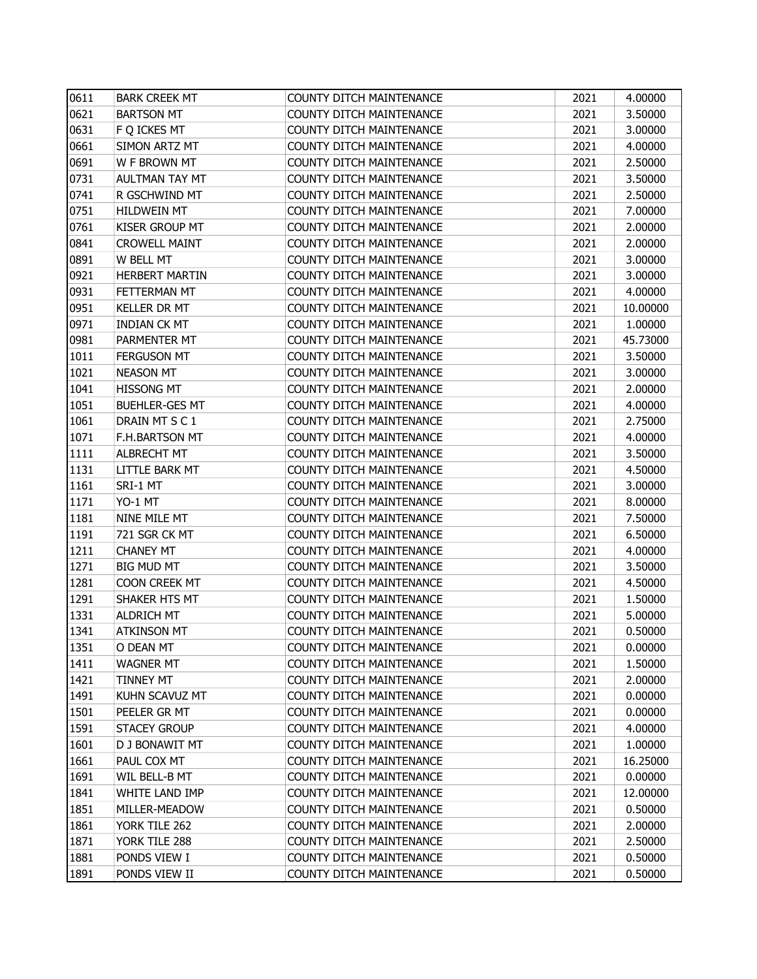| 0611 | <b>BARK CREEK MT</b>  | COUNTY DITCH MAINTENANCE        | 2021 | 4.00000  |
|------|-----------------------|---------------------------------|------|----------|
| 0621 | <b>BARTSON MT</b>     | COUNTY DITCH MAINTENANCE        | 2021 | 3.50000  |
| 0631 | F Q ICKES MT          | <b>COUNTY DITCH MAINTENANCE</b> | 2021 | 3.00000  |
| 0661 | SIMON ARTZ MT         | COUNTY DITCH MAINTENANCE        | 2021 | 4.00000  |
| 0691 | W F BROWN MT          | <b>COUNTY DITCH MAINTENANCE</b> | 2021 | 2.50000  |
| 0731 | AULTMAN TAY MT        | <b>COUNTY DITCH MAINTENANCE</b> | 2021 | 3.50000  |
| 0741 | R GSCHWIND MT         | COUNTY DITCH MAINTENANCE        | 2021 | 2.50000  |
| 0751 | <b>HILDWEIN MT</b>    | <b>COUNTY DITCH MAINTENANCE</b> | 2021 | 7.00000  |
| 0761 | <b>KISER GROUP MT</b> | COUNTY DITCH MAINTENANCE        | 2021 | 2.00000  |
| 0841 | <b>CROWELL MAINT</b>  | <b>COUNTY DITCH MAINTENANCE</b> | 2021 | 2.00000  |
| 0891 | W BELL MT             | COUNTY DITCH MAINTENANCE        | 2021 | 3.00000  |
| 0921 | <b>HERBERT MARTIN</b> | COUNTY DITCH MAINTENANCE        | 2021 | 3.00000  |
| 0931 | FETTERMAN MT          | COUNTY DITCH MAINTENANCE        | 2021 | 4.00000  |
| 0951 | <b>KELLER DR MT</b>   | COUNTY DITCH MAINTENANCE        | 2021 | 10.00000 |
| 0971 | <b>INDIAN CK MT</b>   | COUNTY DITCH MAINTENANCE        | 2021 | 1.00000  |
| 0981 | PARMENTER MT          | COUNTY DITCH MAINTENANCE        | 2021 | 45.73000 |
| 1011 | <b>FERGUSON MT</b>    | <b>COUNTY DITCH MAINTENANCE</b> | 2021 | 3.50000  |
| 1021 | <b>NEASON MT</b>      | <b>COUNTY DITCH MAINTENANCE</b> | 2021 | 3.00000  |
| 1041 | <b>HISSONG MT</b>     | COUNTY DITCH MAINTENANCE        | 2021 | 2.00000  |
| 1051 | <b>BUEHLER-GES MT</b> | <b>COUNTY DITCH MAINTENANCE</b> | 2021 | 4.00000  |
| 1061 | DRAIN MT S C 1        | <b>COUNTY DITCH MAINTENANCE</b> | 2021 | 2.75000  |
| 1071 | F.H.BARTSON MT        | <b>COUNTY DITCH MAINTENANCE</b> | 2021 | 4.00000  |
| 1111 | <b>ALBRECHT MT</b>    | <b>COUNTY DITCH MAINTENANCE</b> | 2021 | 3.50000  |
| 1131 | <b>LITTLE BARK MT</b> | COUNTY DITCH MAINTENANCE        | 2021 | 4.50000  |
| 1161 | SRI-1 MT              | COUNTY DITCH MAINTENANCE        | 2021 | 3.00000  |
| 1171 | YO-1 MT               | <b>COUNTY DITCH MAINTENANCE</b> | 2021 | 8.00000  |
| 1181 | NINE MILE MT          | COUNTY DITCH MAINTENANCE        | 2021 | 7.50000  |
| 1191 | 721 SGR CK MT         | COUNTY DITCH MAINTENANCE        | 2021 | 6.50000  |
| 1211 | <b>CHANEY MT</b>      | <b>COUNTY DITCH MAINTENANCE</b> | 2021 | 4.00000  |
| 1271 | <b>BIG MUD MT</b>     | COUNTY DITCH MAINTENANCE        | 2021 | 3.50000  |
| 1281 | COON CREEK MT         | <b>COUNTY DITCH MAINTENANCE</b> | 2021 | 4.50000  |
| 1291 | SHAKER HTS MT         | COUNTY DITCH MAINTENANCE        | 2021 | 1.50000  |
| 1331 | <b>ALDRICH MT</b>     | <b>COUNTY DITCH MAINTENANCE</b> | 2021 | 5.00000  |
| 1341 | <b>ATKINSON MT</b>    | <b>COUNTY DITCH MAINTENANCE</b> | 2021 | 0.50000  |
| 1351 | O DEAN MT             | <b>COUNTY DITCH MAINTENANCE</b> | 2021 | 0.00000  |
| 1411 | <b>WAGNER MT</b>      | COUNTY DITCH MAINTENANCE        | 2021 | 1.50000  |
| 1421 | <b>TINNEY MT</b>      | COUNTY DITCH MAINTENANCE        | 2021 | 2.00000  |
| 1491 | KUHN SCAVUZ MT        | <b>COUNTY DITCH MAINTENANCE</b> | 2021 | 0.00000  |
| 1501 | PEELER GR MT          | <b>COUNTY DITCH MAINTENANCE</b> | 2021 | 0.00000  |
| 1591 | <b>STACEY GROUP</b>   | <b>COUNTY DITCH MAINTENANCE</b> | 2021 | 4.00000  |
| 1601 | D J BONAWIT MT        | <b>COUNTY DITCH MAINTENANCE</b> | 2021 | 1.00000  |
| 1661 | PAUL COX MT           | COUNTY DITCH MAINTENANCE        | 2021 | 16.25000 |
| 1691 | WIL BELL-B MT         | <b>COUNTY DITCH MAINTENANCE</b> | 2021 | 0.00000  |
| 1841 | WHITE LAND IMP        | COUNTY DITCH MAINTENANCE        | 2021 | 12.00000 |
| 1851 | MILLER-MEADOW         | <b>COUNTY DITCH MAINTENANCE</b> | 2021 | 0.50000  |
| 1861 | YORK TILE 262         | <b>COUNTY DITCH MAINTENANCE</b> | 2021 | 2.00000  |
| 1871 | YORK TILE 288         | <b>COUNTY DITCH MAINTENANCE</b> | 2021 | 2.50000  |
| 1881 | PONDS VIEW I          | COUNTY DITCH MAINTENANCE        | 2021 | 0.50000  |
| 1891 | PONDS VIEW II         | COUNTY DITCH MAINTENANCE        | 2021 | 0.50000  |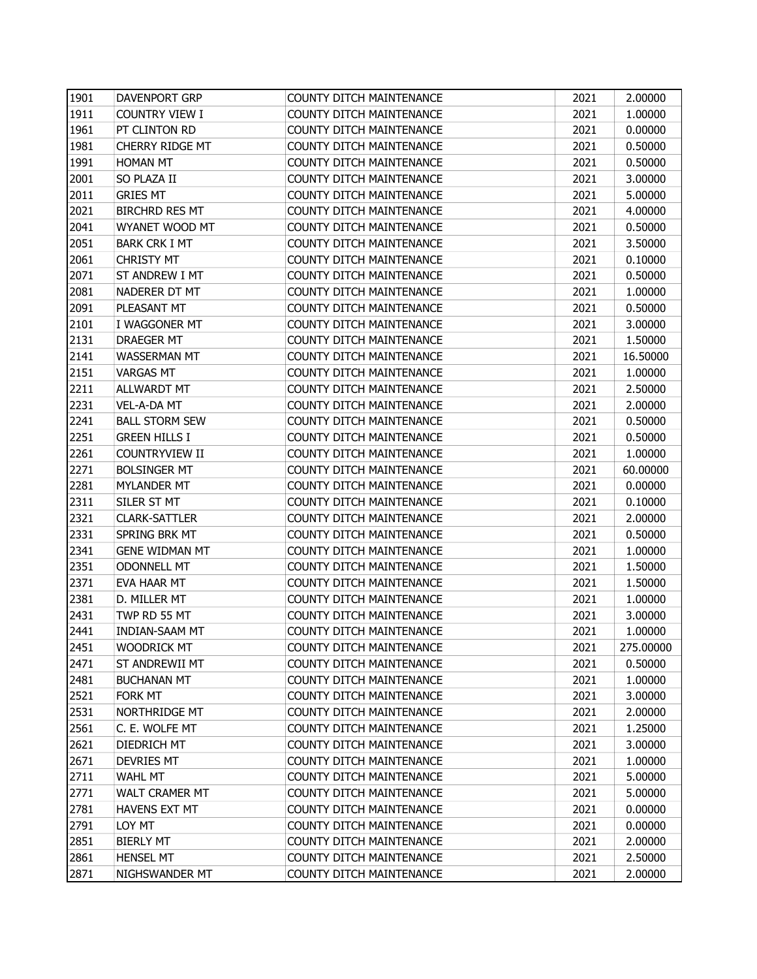| 1901 | DAVENPORT GRP          | <b>COUNTY DITCH MAINTENANCE</b> | 2021 | 2.00000   |
|------|------------------------|---------------------------------|------|-----------|
| 1911 | <b>COUNTRY VIEW I</b>  | <b>COUNTY DITCH MAINTENANCE</b> | 2021 | 1.00000   |
| 1961 | PT CLINTON RD          | COUNTY DITCH MAINTENANCE        | 2021 | 0.00000   |
| 1981 | <b>CHERRY RIDGE MT</b> | COUNTY DITCH MAINTENANCE        | 2021 | 0.50000   |
| 1991 | <b>HOMAN MT</b>        | <b>COUNTY DITCH MAINTENANCE</b> | 2021 | 0.50000   |
| 2001 | SO PLAZA II            | COUNTY DITCH MAINTENANCE        | 2021 | 3.00000   |
| 2011 | <b>GRIES MT</b>        | <b>COUNTY DITCH MAINTENANCE</b> | 2021 | 5.00000   |
| 2021 | <b>BIRCHRD RES MT</b>  | COUNTY DITCH MAINTENANCE        | 2021 | 4.00000   |
| 2041 | WYANET WOOD MT         | COUNTY DITCH MAINTENANCE        | 2021 | 0.50000   |
| 2051 | <b>BARK CRK I MT</b>   | <b>COUNTY DITCH MAINTENANCE</b> | 2021 | 3.50000   |
| 2061 | <b>CHRISTY MT</b>      | <b>COUNTY DITCH MAINTENANCE</b> | 2021 | 0.10000   |
| 2071 | ST ANDREW I MT         | <b>COUNTY DITCH MAINTENANCE</b> | 2021 | 0.50000   |
| 2081 | NADERER DT MT          | COUNTY DITCH MAINTENANCE        | 2021 | 1.00000   |
| 2091 | PLEASANT MT            | COUNTY DITCH MAINTENANCE        | 2021 | 0.50000   |
| 2101 | I WAGGONER MT          | COUNTY DITCH MAINTENANCE        | 2021 | 3.00000   |
| 2131 | DRAEGER MT             | COUNTY DITCH MAINTENANCE        | 2021 | 1.50000   |
| 2141 | <b>WASSERMAN MT</b>    | <b>COUNTY DITCH MAINTENANCE</b> | 2021 | 16.50000  |
| 2151 | <b>VARGAS MT</b>       | <b>COUNTY DITCH MAINTENANCE</b> | 2021 | 1.00000   |
| 2211 | ALLWARDT MT            | COUNTY DITCH MAINTENANCE        | 2021 | 2.50000   |
| 2231 | VEL-A-DA MT            | <b>COUNTY DITCH MAINTENANCE</b> | 2021 | 2.00000   |
| 2241 | <b>BALL STORM SEW</b>  | <b>COUNTY DITCH MAINTENANCE</b> | 2021 | 0.50000   |
| 2251 | <b>GREEN HILLS I</b>   | <b>COUNTY DITCH MAINTENANCE</b> | 2021 | 0.50000   |
| 2261 | COUNTRYVIEW II         | <b>COUNTY DITCH MAINTENANCE</b> | 2021 | 1.00000   |
| 2271 | <b>BOLSINGER MT</b>    | <b>COUNTY DITCH MAINTENANCE</b> | 2021 | 60.00000  |
| 2281 | MYLANDER MT            | COUNTY DITCH MAINTENANCE        | 2021 | 0.00000   |
| 2311 | SILER ST MT            | COUNTY DITCH MAINTENANCE        | 2021 | 0.10000   |
| 2321 | <b>CLARK-SATTLER</b>   | COUNTY DITCH MAINTENANCE        | 2021 | 2.00000   |
| 2331 | SPRING BRK MT          | <b>COUNTY DITCH MAINTENANCE</b> | 2021 | 0.50000   |
| 2341 | <b>GENE WIDMAN MT</b>  | <b>COUNTY DITCH MAINTENANCE</b> | 2021 | 1.00000   |
| 2351 | <b>ODONNELL MT</b>     | COUNTY DITCH MAINTENANCE        | 2021 | 1.50000   |
| 2371 | EVA HAAR MT            | COUNTY DITCH MAINTENANCE        | 2021 | 1.50000   |
| 2381 | D. MILLER MT           | COUNTY DITCH MAINTENANCE        | 2021 | 1.00000   |
| 2431 | TWP RD 55 MT           | <b>COUNTY DITCH MAINTENANCE</b> | 2021 | 3.00000   |
| 2441 | <b>INDIAN-SAAM MT</b>  | <b>COUNTY DITCH MAINTENANCE</b> | 2021 | 1.00000   |
| 2451 | <b>WOODRICK MT</b>     | COUNTY DITCH MAINTENANCE        | 2021 | 275.00000 |
| 2471 | ST ANDREWII MT         | <b>COUNTY DITCH MAINTENANCE</b> | 2021 | 0.50000   |
| 2481 | <b>BUCHANAN MT</b>     | COUNTY DITCH MAINTENANCE        | 2021 | 1.00000   |
| 2521 | FORK MT                | COUNTY DITCH MAINTENANCE        | 2021 | 3.00000   |
| 2531 | NORTHRIDGE MT          | COUNTY DITCH MAINTENANCE        | 2021 | 2.00000   |
| 2561 | C. E. WOLFE MT         | COUNTY DITCH MAINTENANCE        | 2021 | 1.25000   |
| 2621 | DIEDRICH MT            | <b>COUNTY DITCH MAINTENANCE</b> | 2021 | 3.00000   |
| 2671 | <b>DEVRIES MT</b>      | COUNTY DITCH MAINTENANCE        | 2021 | 1.00000   |
| 2711 | <b>WAHL MT</b>         | COUNTY DITCH MAINTENANCE        | 2021 | 5.00000   |
| 2771 | WALT CRAMER MT         | COUNTY DITCH MAINTENANCE        | 2021 | 5.00000   |
| 2781 | <b>HAVENS EXT MT</b>   | COUNTY DITCH MAINTENANCE        | 2021 | 0.00000   |
| 2791 | LOY MT                 | <b>COUNTY DITCH MAINTENANCE</b> | 2021 | 0.00000   |
| 2851 | <b>BIERLY MT</b>       | COUNTY DITCH MAINTENANCE        | 2021 | 2.00000   |
| 2861 | <b>HENSEL MT</b>       | COUNTY DITCH MAINTENANCE        | 2021 | 2.50000   |
| 2871 | NIGHSWANDER MT         | COUNTY DITCH MAINTENANCE        | 2021 | 2.00000   |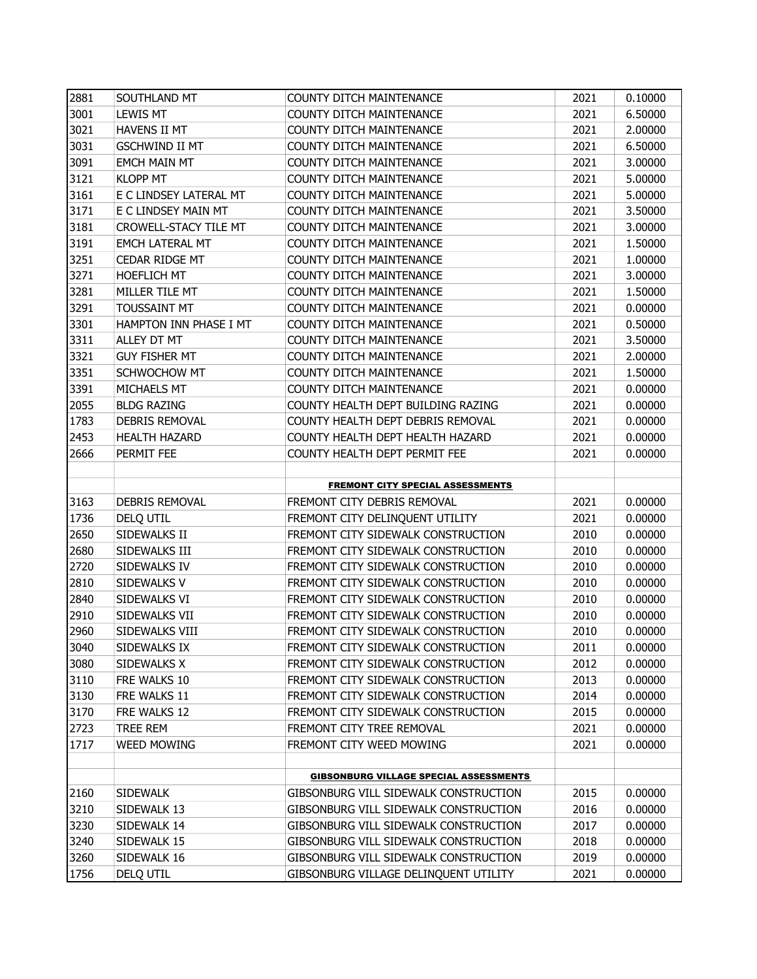| 2881         | SOUTHLAND MT               | <b>COUNTY DITCH MAINTENANCE</b>                                                | 2021         | 0.10000            |
|--------------|----------------------------|--------------------------------------------------------------------------------|--------------|--------------------|
| 3001         | <b>LEWIS MT</b>            | <b>COUNTY DITCH MAINTENANCE</b>                                                | 2021         | 6.50000            |
| 3021         | <b>HAVENS II MT</b>        | <b>COUNTY DITCH MAINTENANCE</b>                                                | 2021         | 2.00000            |
| 3031         | <b>GSCHWIND II MT</b>      | COUNTY DITCH MAINTENANCE                                                       | 2021         | 6.50000            |
| 3091         | <b>EMCH MAIN MT</b>        | <b>COUNTY DITCH MAINTENANCE</b>                                                | 2021         | 3.00000            |
| 3121         | <b>KLOPP MT</b>            | <b>COUNTY DITCH MAINTENANCE</b>                                                | 2021         | 5.00000            |
| 3161         | E C LINDSEY LATERAL MT     | <b>COUNTY DITCH MAINTENANCE</b>                                                | 2021         | 5.00000            |
| 3171         | E C LINDSEY MAIN MT        | <b>COUNTY DITCH MAINTENANCE</b>                                                | 2021         | 3.50000            |
| 3181         | CROWELL-STACY TILE MT      | <b>COUNTY DITCH MAINTENANCE</b>                                                | 2021         | 3.00000            |
| 3191         | EMCH LATERAL MT            | COUNTY DITCH MAINTENANCE                                                       | 2021         | 1.50000            |
| 3251         | CEDAR RIDGE MT             | <b>COUNTY DITCH MAINTENANCE</b>                                                | 2021         | 1.00000            |
| 3271         | <b>HOEFLICH MT</b>         | <b>COUNTY DITCH MAINTENANCE</b>                                                | 2021         | 3.00000            |
| 3281         | MILLER TILE MT             | COUNTY DITCH MAINTENANCE                                                       | 2021         | 1.50000            |
| 3291         | <b>TOUSSAINT MT</b>        | <b>COUNTY DITCH MAINTENANCE</b>                                                | 2021         | 0.00000            |
| 3301         | HAMPTON INN PHASE I MT     | <b>COUNTY DITCH MAINTENANCE</b>                                                | 2021         | 0.50000            |
| 3311         | ALLEY DT MT                | <b>COUNTY DITCH MAINTENANCE</b>                                                | 2021         | 3.50000            |
| 3321         | <b>GUY FISHER MT</b>       | <b>COUNTY DITCH MAINTENANCE</b>                                                | 2021         | 2.00000            |
| 3351         | <b>SCHWOCHOW MT</b>        | <b>COUNTY DITCH MAINTENANCE</b>                                                | 2021         | 1.50000            |
| 3391         | MICHAELS MT                | <b>COUNTY DITCH MAINTENANCE</b>                                                | 2021         | 0.00000            |
| 2055         | <b>BLDG RAZING</b>         | COUNTY HEALTH DEPT BUILDING RAZING                                             | 2021         | 0.00000            |
| 1783         | DEBRIS REMOVAL             | COUNTY HEALTH DEPT DEBRIS REMOVAL                                              | 2021         | 0.00000            |
| 2453         | <b>HEALTH HAZARD</b>       | COUNTY HEALTH DEPT HEALTH HAZARD                                               | 2021         | 0.00000            |
| 2666         | PERMIT FEE                 | COUNTY HEALTH DEPT PERMIT FEE                                                  | 2021         | 0.00000            |
|              |                            |                                                                                |              |                    |
|              |                            | <b>FREMONT CITY SPECIAL ASSESSMENTS</b>                                        |              |                    |
| 3163         | DEBRIS REMOVAL             | FREMONT CITY DEBRIS REMOVAL                                                    | 2021         | 0.00000            |
| 1736         | DELQ UTIL                  | FREMONT CITY DELINQUENT UTILITY                                                | 2021         | 0.00000            |
| 2650         | SIDEWALKS II               | FREMONT CITY SIDEWALK CONSTRUCTION                                             | 2010         | 0.00000            |
| 2680         | SIDEWALKS III              | FREMONT CITY SIDEWALK CONSTRUCTION                                             | 2010         | 0.00000            |
| 2720         | SIDEWALKS IV               | FREMONT CITY SIDEWALK CONSTRUCTION                                             | 2010         | 0.00000            |
| 2810         | SIDEWALKS V                | FREMONT CITY SIDEWALK CONSTRUCTION                                             | 2010         | 0.00000            |
| 2840         | SIDEWALKS VI               | FREMONT CITY SIDEWALK CONSTRUCTION                                             | 2010         | 0.00000            |
| 2910         | SIDEWALKS VII              | FREMONT CITY SIDEWALK CONSTRUCTION                                             | 2010         | 0.00000            |
| 2960         | SIDEWALKS VIII             | FREMONT CITY SIDEWALK CONSTRUCTION                                             | 2010         | 0.00000            |
| 3040         | SIDEWALKS IX               | FREMONT CITY SIDEWALK CONSTRUCTION                                             | 2011         | 0.00000            |
| 3080         | SIDEWALKS X                | FREMONT CITY SIDEWALK CONSTRUCTION                                             | 2012         | 0.00000            |
| 3110         | FRE WALKS 10               | FREMONT CITY SIDEWALK CONSTRUCTION                                             | 2013         | 0.00000            |
| 3130         | FRE WALKS 11               | FREMONT CITY SIDEWALK CONSTRUCTION                                             | 2014         | 0.00000            |
| 3170         | FRE WALKS 12               | FREMONT CITY SIDEWALK CONSTRUCTION                                             | 2015         | 0.00000            |
| 2723         | TREE REM                   | FREMONT CITY TREE REMOVAL                                                      | 2021         | 0.00000            |
| 1717         | <b>WEED MOWING</b>         | FREMONT CITY WEED MOWING                                                       | 2021         | 0.00000            |
|              |                            |                                                                                |              |                    |
|              |                            | <b>GIBSONBURG VILLAGE SPECIAL ASSESSMENTS</b>                                  |              |                    |
| 2160         | <b>SIDEWALK</b>            | GIBSONBURG VILL SIDEWALK CONSTRUCTION                                          | 2015         | 0.00000            |
| 3210         | SIDEWALK 13<br>SIDEWALK 14 | GIBSONBURG VILL SIDEWALK CONSTRUCTION                                          | 2016         | 0.00000            |
| 3230         |                            | GIBSONBURG VILL SIDEWALK CONSTRUCTION                                          | 2017         | 0.00000            |
|              |                            |                                                                                |              |                    |
| 3240         | SIDEWALK 15                | GIBSONBURG VILL SIDEWALK CONSTRUCTION                                          | 2018         | 0.00000            |
| 3260<br>1756 | SIDEWALK 16<br>DELQ UTIL   | GIBSONBURG VILL SIDEWALK CONSTRUCTION<br>GIBSONBURG VILLAGE DELINQUENT UTILITY | 2019<br>2021 | 0.00000<br>0.00000 |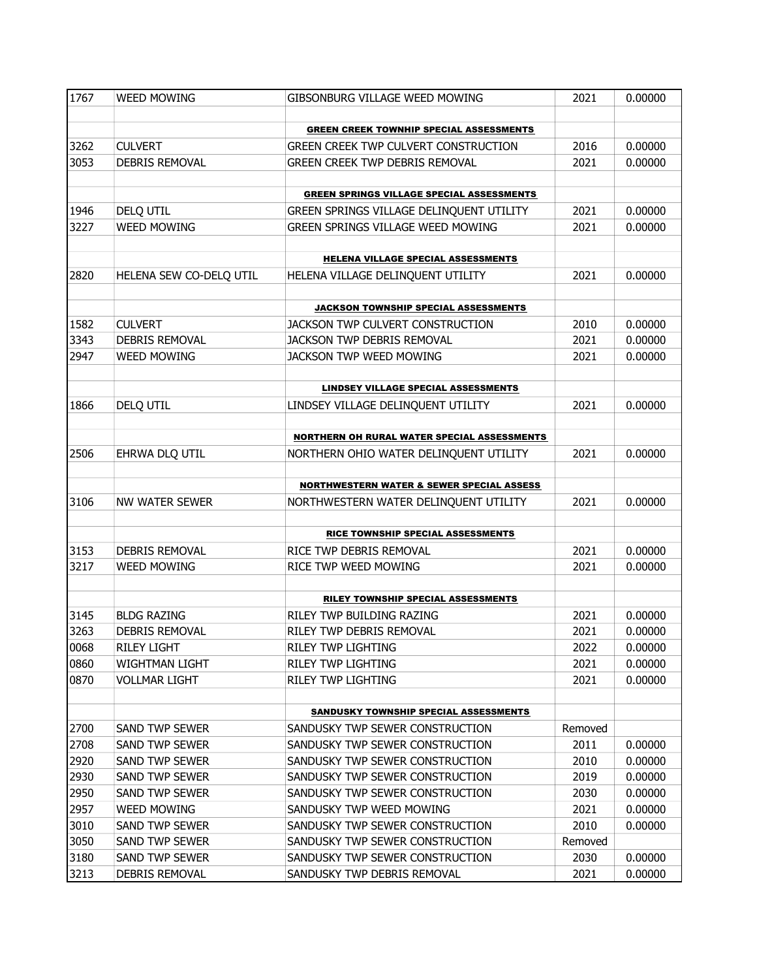| 1767 | <b>WEED MOWING</b>      | GIBSONBURG VILLAGE WEED MOWING                       | 2021    | 0.00000 |
|------|-------------------------|------------------------------------------------------|---------|---------|
|      |                         |                                                      |         |         |
|      |                         | <b>GREEN CREEK TOWNHIP SPECIAL ASSESSMENTS</b>       |         |         |
| 3262 | <b>CULVERT</b>          | GREEN CREEK TWP CULVERT CONSTRUCTION                 | 2016    | 0.00000 |
| 3053 | DEBRIS REMOVAL          | <b>GREEN CREEK TWP DEBRIS REMOVAL</b>                | 2021    | 0.00000 |
|      |                         |                                                      |         |         |
|      |                         | <b>GREEN SPRINGS VILLAGE SPECIAL ASSESSMENTS</b>     |         |         |
| 1946 | DELQ UTIL               | GREEN SPRINGS VILLAGE DELINQUENT UTILITY             | 2021    | 0.00000 |
| 3227 | <b>WEED MOWING</b>      | GREEN SPRINGS VILLAGE WEED MOWING                    | 2021    | 0.00000 |
|      |                         | <b>HELENA VILLAGE SPECIAL ASSESSMENTS</b>            |         |         |
| 2820 | HELENA SEW CO-DELQ UTIL | HELENA VILLAGE DELINQUENT UTILITY                    | 2021    | 0.00000 |
|      |                         |                                                      |         |         |
|      |                         | <b>JACKSON TOWNSHIP SPECIAL ASSESSMENTS</b>          |         |         |
| 1582 | <b>CULVERT</b>          | JACKSON TWP CULVERT CONSTRUCTION                     | 2010    | 0.00000 |
| 3343 | DEBRIS REMOVAL          | JACKSON TWP DEBRIS REMOVAL                           | 2021    | 0.00000 |
| 2947 | <b>WEED MOWING</b>      | JACKSON TWP WEED MOWING                              | 2021    | 0.00000 |
|      |                         |                                                      |         |         |
|      |                         | <b>LINDSEY VILLAGE SPECIAL ASSESSMENTS</b>           |         |         |
| 1866 | DELQ UTIL               | LINDSEY VILLAGE DELINQUENT UTILITY                   | 2021    | 0.00000 |
|      |                         |                                                      |         |         |
|      |                         | NORTHERN OH RURAL WATER SPECIAL ASSESSMENTS          |         |         |
| 2506 | EHRWA DLQ UTIL          | NORTHERN OHIO WATER DELINQUENT UTILITY               | 2021    | 0.00000 |
|      |                         | <b>NORTHWESTERN WATER &amp; SEWER SPECIAL ASSESS</b> |         |         |
| 3106 | NW WATER SEWER          | NORTHWESTERN WATER DELINQUENT UTILITY                | 2021    | 0.00000 |
|      |                         |                                                      |         |         |
|      |                         | RICE TOWNSHIP SPECIAL ASSESSMENTS                    |         |         |
| 3153 | DEBRIS REMOVAL          | RICE TWP DEBRIS REMOVAL                              | 2021    | 0.00000 |
| 3217 | <b>WEED MOWING</b>      | RICE TWP WEED MOWING                                 | 2021    | 0.00000 |
|      |                         |                                                      |         |         |
|      |                         | RILEY TOWNSHIP SPECIAL ASSESSMENTS                   |         |         |
| 3145 | <b>BLDG RAZING</b>      | RILEY TWP BUILDING RAZING                            | 2021    | 0.00000 |
| 3263 | DEBRIS REMOVAL          | RILEY TWP DEBRIS REMOVAL                             | 2021    | 0.00000 |
| 0068 | <b>RILEY LIGHT</b>      | RILEY TWP LIGHTING                                   | 2022    | 0.00000 |
| 0860 | <b>WIGHTMAN LIGHT</b>   | RILEY TWP LIGHTING                                   | 2021    | 0.00000 |
| 0870 | <b>VOLLMAR LIGHT</b>    | RILEY TWP LIGHTING                                   | 2021    | 0.00000 |
|      |                         |                                                      |         |         |
|      |                         | SANDUSKY TOWNSHIP SPECIAL ASSESSMENTS                |         |         |
| 2700 | SAND TWP SEWER          | SANDUSKY TWP SEWER CONSTRUCTION                      | Removed |         |
| 2708 | <b>SAND TWP SEWER</b>   | SANDUSKY TWP SEWER CONSTRUCTION                      | 2011    | 0.00000 |
| 2920 | <b>SAND TWP SEWER</b>   | SANDUSKY TWP SEWER CONSTRUCTION                      | 2010    | 0.00000 |
| 2930 | SAND TWP SEWER          | SANDUSKY TWP SEWER CONSTRUCTION                      | 2019    | 0.00000 |
| 2950 | SAND TWP SEWER          | SANDUSKY TWP SEWER CONSTRUCTION                      | 2030    | 0.00000 |
| 2957 | <b>WEED MOWING</b>      | SANDUSKY TWP WEED MOWING                             | 2021    | 0.00000 |
| 3010 | SAND TWP SEWER          | SANDUSKY TWP SEWER CONSTRUCTION                      | 2010    | 0.00000 |
| 3050 | <b>SAND TWP SEWER</b>   | SANDUSKY TWP SEWER CONSTRUCTION                      | Removed |         |
| 3180 | <b>SAND TWP SEWER</b>   | SANDUSKY TWP SEWER CONSTRUCTION                      | 2030    | 0.00000 |
| 3213 | DEBRIS REMOVAL          | SANDUSKY TWP DEBRIS REMOVAL                          | 2021    | 0.00000 |